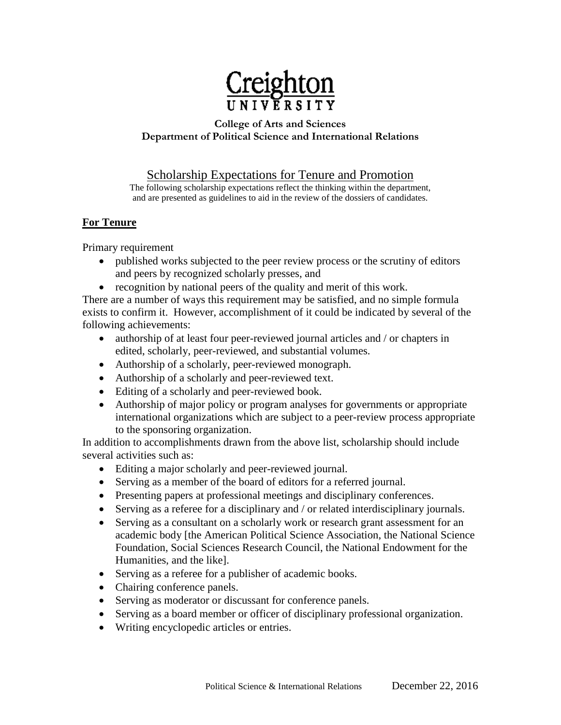

### **College of Arts and Sciences Department of Political Science and International Relations**

Scholarship Expectations for Tenure and Promotion

The following scholarship expectations reflect the thinking within the department, and are presented as guidelines to aid in the review of the dossiers of candidates.

# **For Tenure**

Primary requirement

- published works subjected to the peer review process or the scrutiny of editors and peers by recognized scholarly presses, and
- recognition by national peers of the quality and merit of this work.

There are a number of ways this requirement may be satisfied, and no simple formula exists to confirm it. However, accomplishment of it could be indicated by several of the following achievements:

- authorship of at least four peer-reviewed journal articles and / or chapters in edited, scholarly, peer-reviewed, and substantial volumes.
- Authorship of a scholarly, peer-reviewed monograph.
- Authorship of a scholarly and peer-reviewed text.
- Editing of a scholarly and peer-reviewed book.
- Authorship of major policy or program analyses for governments or appropriate international organizations which are subject to a peer-review process appropriate to the sponsoring organization.

In addition to accomplishments drawn from the above list, scholarship should include several activities such as:

- Editing a major scholarly and peer-reviewed journal.
- Serving as a member of the board of editors for a referred journal.
- Presenting papers at professional meetings and disciplinary conferences.
- Serving as a referee for a disciplinary and / or related interdisciplinary journals.
- Serving as a consultant on a scholarly work or research grant assessment for an academic body [the American Political Science Association, the National Science Foundation, Social Sciences Research Council, the National Endowment for the Humanities, and the like].
- Serving as a referee for a publisher of academic books.
- Chairing conference panels.
- Serving as moderator or discussant for conference panels.
- Serving as a board member or officer of disciplinary professional organization.
- Writing encyclopedic articles or entries.